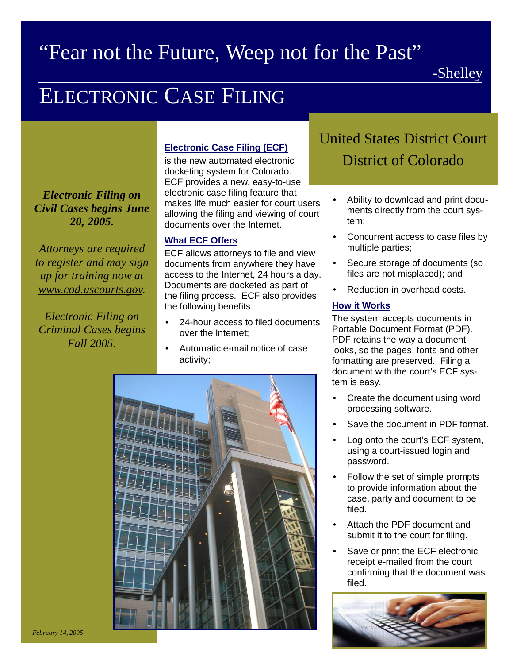## "Fear not the Future, Weep not for the Past"

# ELECTRONIC CASE FILING

*Electronic Filing on Civil Cases begins June 20, 2005.*

*Attorneys are required to register and may sign up for training now at www.cod.uscourts.gov.*

*Electronic Filing on Criminal Cases begins Fall 2005.*

#### **Electronic Case Filing (ECF)**

is the new automated electronic docketing system for Colorado. ECF provides a new, easy-to-use electronic case filing feature that makes life much easier for court users allowing the filing and viewing of court documents over the Internet.

#### **What ECF Offers**

ECF allows attorneys to file and view documents from anywhere they have access to the Internet, 24 hours a day. Documents are docketed as part of the filing process. ECF also provides the following benefits:

- 24-hour access to filed documents over the Internet;
- Automatic e-mail notice of case activity;



### United States District Court District of Colorado

- Ability to download and print documents directly from the court system;
- Concurrent access to case files by multiple parties;
- Secure storage of documents (so files are not misplaced); and
- Reduction in overhead costs.

#### **How it Works**

The system accepts documents in Portable Document Format (PDF). PDF retains the way a document looks, so the pages, fonts and other formatting are preserved. Filing a document with the court's ECF system is easy.

- Create the document using word processing software.
- Save the document in PDF format.
- Log onto the court's ECF system, using a court-issued login and password.
- Follow the set of simple prompts to provide information about the case, party and document to be filed.
- Attach the PDF document and submit it to the court for filing.
- Save or print the ECF electronic receipt e-mailed from the court confirming that the document was filed.